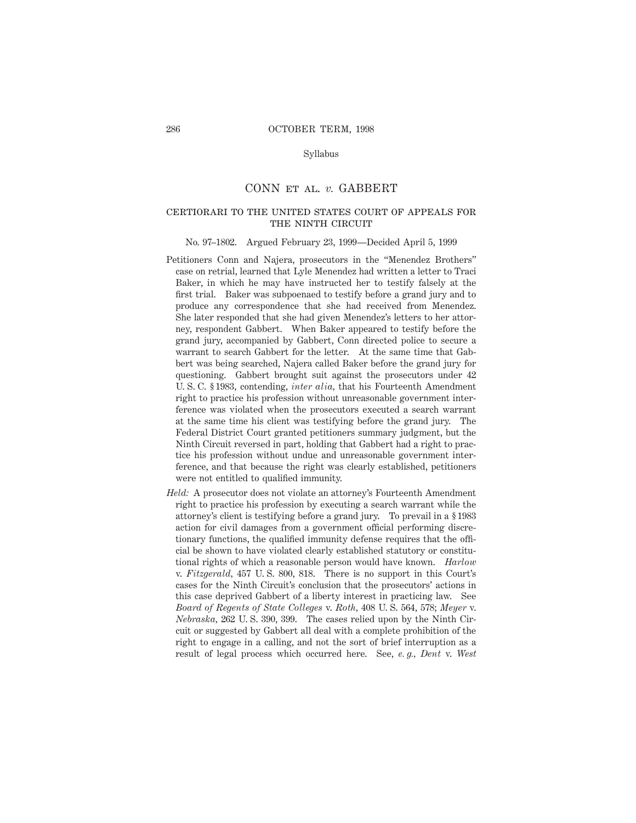#### Syllabus

### CONN et al. *v.* GABBERT

# certiorari to the united states court of appeals for THE NINTH CIRCUIT

#### No. 97–1802. Argued February 23, 1999—Decided April 5, 1999

- Petitioners Conn and Najera, prosecutors in the "Menendez Brothers" case on retrial, learned that Lyle Menendez had written a letter to Traci Baker, in which he may have instructed her to testify falsely at the first trial. Baker was subpoenaed to testify before a grand jury and to produce any correspondence that she had received from Menendez. She later responded that she had given Menendez's letters to her attorney, respondent Gabbert. When Baker appeared to testify before the grand jury, accompanied by Gabbert, Conn directed police to secure a warrant to search Gabbert for the letter. At the same time that Gabbert was being searched, Najera called Baker before the grand jury for questioning. Gabbert brought suit against the prosecutors under 42 U. S. C. § 1983, contending, *inter alia,* that his Fourteenth Amendment right to practice his profession without unreasonable government interference was violated when the prosecutors executed a search warrant at the same time his client was testifying before the grand jury. The Federal District Court granted petitioners summary judgment, but the Ninth Circuit reversed in part, holding that Gabbert had a right to practice his profession without undue and unreasonable government interference, and that because the right was clearly established, petitioners were not entitled to qualified immunity.
- *Held:* A prosecutor does not violate an attorney's Fourteenth Amendment right to practice his profession by executing a search warrant while the attorney's client is testifying before a grand jury. To prevail in a § 1983 action for civil damages from a government official performing discretionary functions, the qualified immunity defense requires that the official be shown to have violated clearly established statutory or constitutional rights of which a reasonable person would have known. *Harlow* v. *Fitzgerald,* 457 U. S. 800, 818. There is no support in this Court's cases for the Ninth Circuit's conclusion that the prosecutors' actions in this case deprived Gabbert of a liberty interest in practicing law. See *Board of Regents of State Colleges* v. *Roth,* 408 U. S. 564, 578; *Meyer* v. *Nebraska,* 262 U. S. 390, 399. The cases relied upon by the Ninth Circuit or suggested by Gabbert all deal with a complete prohibition of the right to engage in a calling, and not the sort of brief interruption as a result of legal process which occurred here. See, *e. g., Dent* v. *West*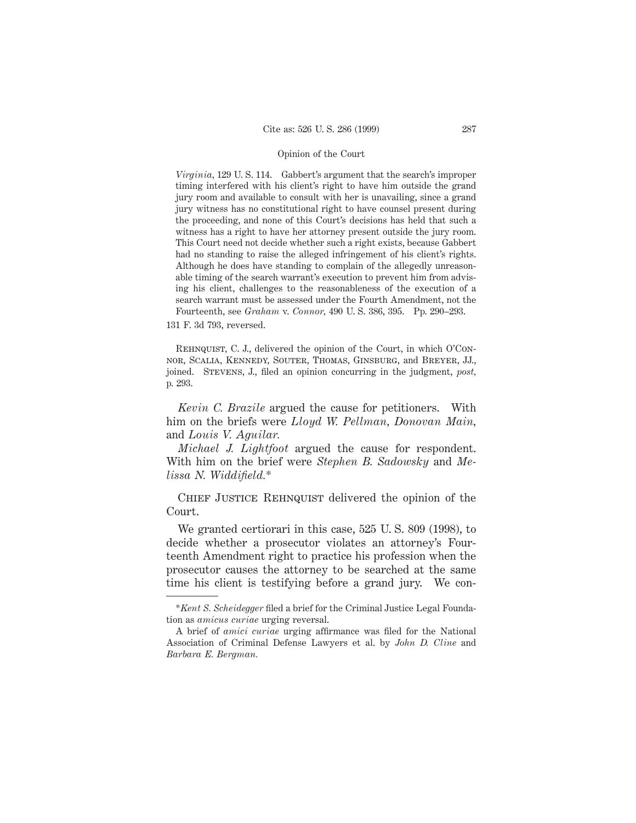*Virginia,* 129 U. S. 114. Gabbert's argument that the search's improper timing interfered with his client's right to have him outside the grand jury room and available to consult with her is unavailing, since a grand jury witness has no constitutional right to have counsel present during the proceeding, and none of this Court's decisions has held that such a witness has a right to have her attorney present outside the jury room. This Court need not decide whether such a right exists, because Gabbert had no standing to raise the alleged infringement of his client's rights. Although he does have standing to complain of the allegedly unreasonable timing of the search warrant's execution to prevent him from advising his client, challenges to the reasonableness of the execution of a search warrant must be assessed under the Fourth Amendment, not the Fourteenth, see *Graham* v. *Connor,* 490 U. S. 386, 395. Pp. 290–293.

131 F. 3d 793, reversed.

REHNQUIST, C. J., delivered the opinion of the Court, in which O'Connor, Scalia, Kennedy, Souter, Thomas, Ginsburg, and Breyer, JJ., joined. Stevens, J., filed an opinion concurring in the judgment, *post,* p. 293.

*Kevin C. Brazile* argued the cause for petitioners. With him on the briefs were *Lloyd W. Pellman, Donovan Main,* and *Louis V. Aguilar.*

*Michael J. Lightfoot* argued the cause for respondent. With him on the brief were *Stephen B. Sadowsky* and *Melissa N. Widdifield.*\*

CHIEF JUSTICE REHNQUIST delivered the opinion of the Court.

We granted certiorari in this case, 525 U. S. 809 (1998), to decide whether a prosecutor violates an attorney's Fourteenth Amendment right to practice his profession when the prosecutor causes the attorney to be searched at the same time his client is testifying before a grand jury. We con-

<sup>\*</sup>*Kent S. Scheidegger* filed a brief for the Criminal Justice Legal Foundation as *amicus curiae* urging reversal.

A brief of *amici curiae* urging affirmance was filed for the National Association of Criminal Defense Lawyers et al. by *John D. Cline* and *Barbara E. Bergman.*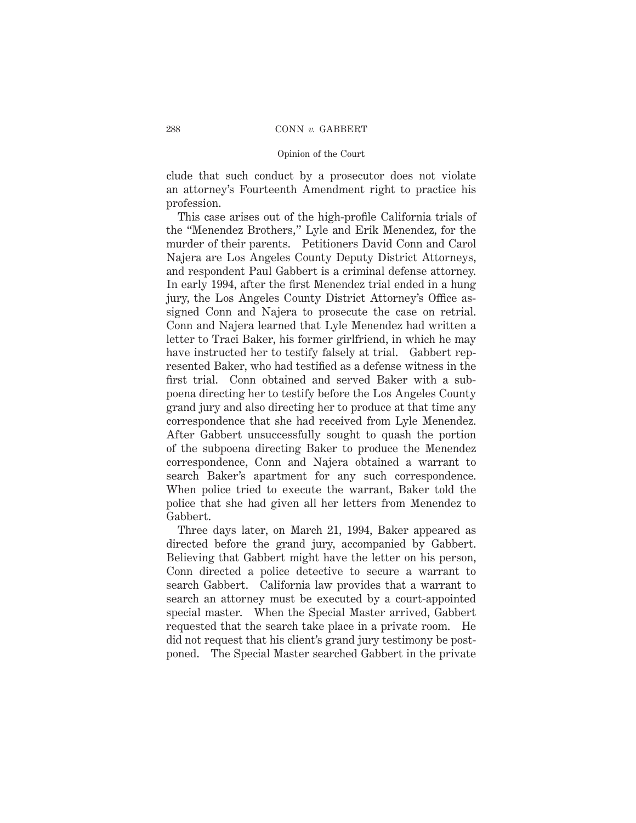clude that such conduct by a prosecutor does not violate an attorney's Fourteenth Amendment right to practice his profession.

This case arises out of the high-profile California trials of the "Menendez Brothers," Lyle and Erik Menendez, for the murder of their parents. Petitioners David Conn and Carol Najera are Los Angeles County Deputy District Attorneys, and respondent Paul Gabbert is a criminal defense attorney. In early 1994, after the first Menendez trial ended in a hung jury, the Los Angeles County District Attorney's Office assigned Conn and Najera to prosecute the case on retrial. Conn and Najera learned that Lyle Menendez had written a letter to Traci Baker, his former girlfriend, in which he may have instructed her to testify falsely at trial. Gabbert represented Baker, who had testified as a defense witness in the first trial. Conn obtained and served Baker with a subpoena directing her to testify before the Los Angeles County grand jury and also directing her to produce at that time any correspondence that she had received from Lyle Menendez. After Gabbert unsuccessfully sought to quash the portion of the subpoena directing Baker to produce the Menendez correspondence, Conn and Najera obtained a warrant to search Baker's apartment for any such correspondence. When police tried to execute the warrant, Baker told the police that she had given all her letters from Menendez to Gabbert.

Three days later, on March 21, 1994, Baker appeared as directed before the grand jury, accompanied by Gabbert. Believing that Gabbert might have the letter on his person, Conn directed a police detective to secure a warrant to search Gabbert. California law provides that a warrant to search an attorney must be executed by a court-appointed special master. When the Special Master arrived, Gabbert requested that the search take place in a private room. He did not request that his client's grand jury testimony be postponed. The Special Master searched Gabbert in the private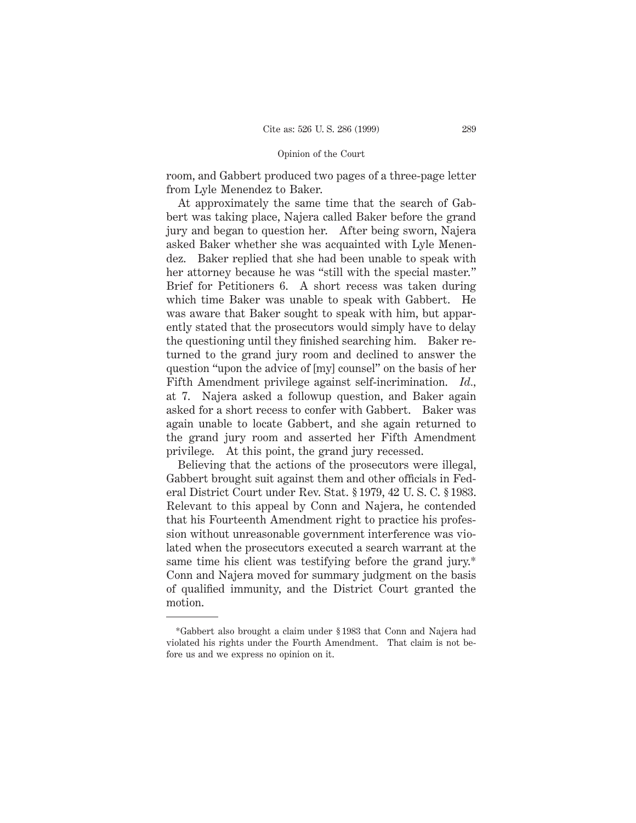room, and Gabbert produced two pages of a three-page letter from Lyle Menendez to Baker.

At approximately the same time that the search of Gabbert was taking place, Najera called Baker before the grand jury and began to question her. After being sworn, Najera asked Baker whether she was acquainted with Lyle Menendez. Baker replied that she had been unable to speak with her attorney because he was "still with the special master." Brief for Petitioners 6. A short recess was taken during which time Baker was unable to speak with Gabbert. He was aware that Baker sought to speak with him, but apparently stated that the prosecutors would simply have to delay the questioning until they finished searching him. Baker returned to the grand jury room and declined to answer the question "upon the advice of [my] counsel" on the basis of her Fifth Amendment privilege against self-incrimination. *Id.,* at 7. Najera asked a followup question, and Baker again asked for a short recess to confer with Gabbert. Baker was again unable to locate Gabbert, and she again returned to the grand jury room and asserted her Fifth Amendment privilege. At this point, the grand jury recessed.

Believing that the actions of the prosecutors were illegal, Gabbert brought suit against them and other officials in Federal District Court under Rev. Stat. § 1979, 42 U. S. C. § 1983. Relevant to this appeal by Conn and Najera, he contended that his Fourteenth Amendment right to practice his profession without unreasonable government interference was violated when the prosecutors executed a search warrant at the same time his client was testifying before the grand jury.\* Conn and Najera moved for summary judgment on the basis of qualified immunity, and the District Court granted the motion.

<sup>\*</sup>Gabbert also brought a claim under § 1983 that Conn and Najera had violated his rights under the Fourth Amendment. That claim is not before us and we express no opinion on it.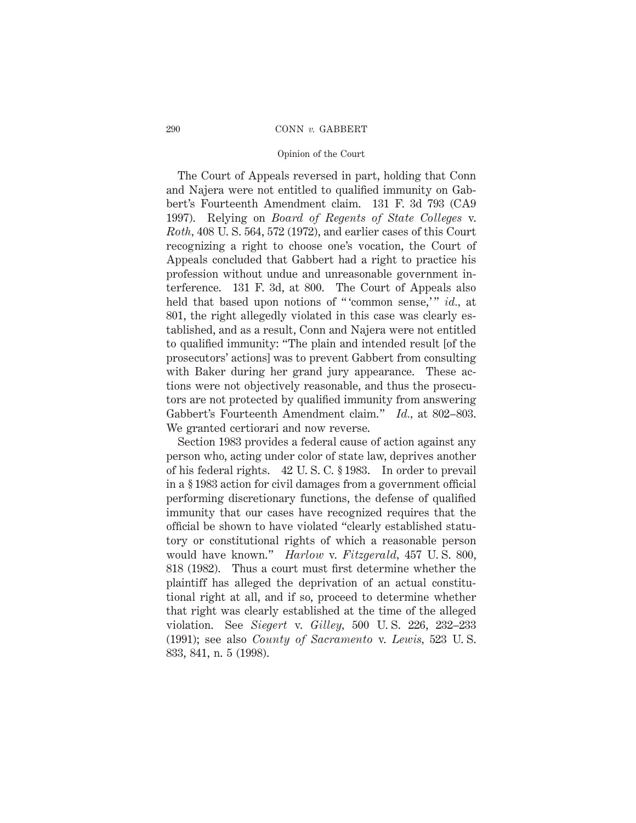#### 290 CONN *v.* GABBERT

#### Opinion of the Court

The Court of Appeals reversed in part, holding that Conn and Najera were not entitled to qualified immunity on Gabbert's Fourteenth Amendment claim. 131 F. 3d 793 (CA9 1997). Relying on *Board of Regents of State Colleges* v. *Roth,* 408 U. S. 564, 572 (1972), and earlier cases of this Court recognizing a right to choose one's vocation, the Court of Appeals concluded that Gabbert had a right to practice his profession without undue and unreasonable government interference. 131 F. 3d, at 800. The Court of Appeals also held that based upon notions of "'common sense,'" *id.*, at 801, the right allegedly violated in this case was clearly established, and as a result, Conn and Najera were not entitled to qualified immunity: "The plain and intended result [of the prosecutors' actions] was to prevent Gabbert from consulting with Baker during her grand jury appearance. These actions were not objectively reasonable, and thus the prosecutors are not protected by qualified immunity from answering Gabbert's Fourteenth Amendment claim." *Id.,* at 802–803. We granted certiorari and now reverse.

Section 1983 provides a federal cause of action against any person who, acting under color of state law, deprives another of his federal rights. 42 U. S. C. § 1983. In order to prevail in a § 1983 action for civil damages from a government official performing discretionary functions, the defense of qualified immunity that our cases have recognized requires that the official be shown to have violated "clearly established statutory or constitutional rights of which a reasonable person would have known." *Harlow* v. *Fitzgerald,* 457 U. S. 800, 818 (1982). Thus a court must first determine whether the plaintiff has alleged the deprivation of an actual constitutional right at all, and if so, proceed to determine whether that right was clearly established at the time of the alleged violation. See *Siegert* v. *Gilley,* 500 U. S. 226, 232–233 (1991); see also *County of Sacramento* v. *Lewis,* 523 U. S. 833, 841, n. 5 (1998).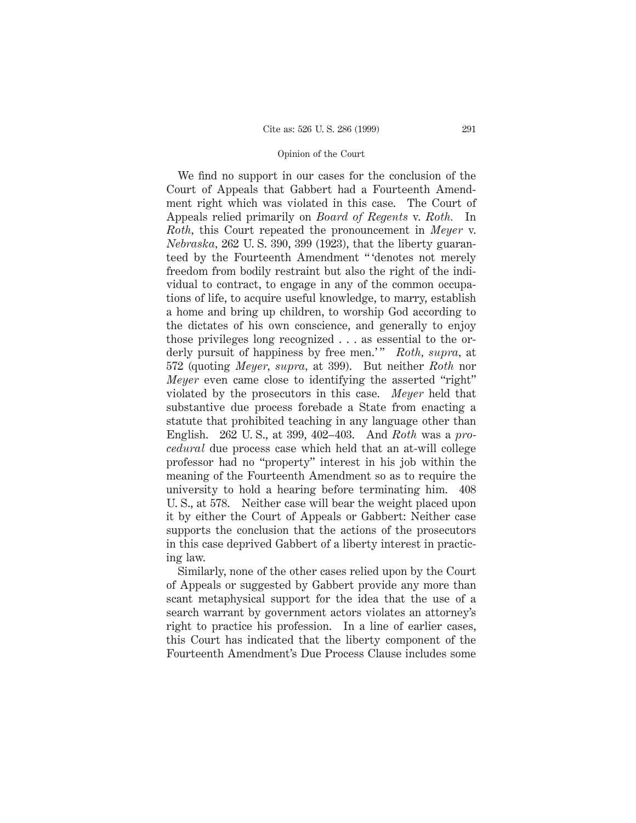We find no support in our cases for the conclusion of the Court of Appeals that Gabbert had a Fourteenth Amendment right which was violated in this case. The Court of Appeals relied primarily on *Board of Regents* v. *Roth.* In *Roth,* this Court repeated the pronouncement in *Meyer* v. *Nebraska,* 262 U. S. 390, 399 (1923), that the liberty guaranteed by the Fourteenth Amendment " 'denotes not merely freedom from bodily restraint but also the right of the individual to contract, to engage in any of the common occupations of life, to acquire useful knowledge, to marry, establish a home and bring up children, to worship God according to the dictates of his own conscience, and generally to enjoy those privileges long recognized . . . as essential to the orderly pursuit of happiness by free men.'" *Roth, supra,* at 572 (quoting *Meyer, supra,* at 399). But neither *Roth* nor *Meyer* even came close to identifying the asserted "right" violated by the prosecutors in this case. *Meyer* held that substantive due process forebade a State from enacting a statute that prohibited teaching in any language other than English. 262 U. S., at 399, 402–403. And *Roth* was a *procedural* due process case which held that an at-will college professor had no "property" interest in his job within the meaning of the Fourteenth Amendment so as to require the university to hold a hearing before terminating him. 408 U. S., at 578. Neither case will bear the weight placed upon it by either the Court of Appeals or Gabbert: Neither case supports the conclusion that the actions of the prosecutors in this case deprived Gabbert of a liberty interest in practicing law.

Similarly, none of the other cases relied upon by the Court of Appeals or suggested by Gabbert provide any more than scant metaphysical support for the idea that the use of a search warrant by government actors violates an attorney's right to practice his profession. In a line of earlier cases, this Court has indicated that the liberty component of the Fourteenth Amendment's Due Process Clause includes some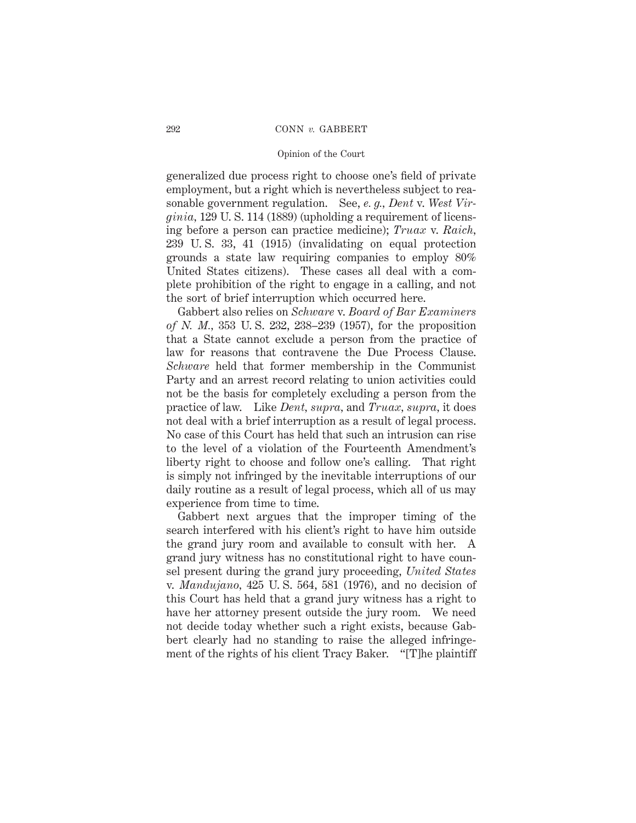generalized due process right to choose one's field of private employment, but a right which is nevertheless subject to reasonable government regulation. See, *e. g., Dent* v. *West Virginia,* 129 U. S. 114 (1889) (upholding a requirement of licensing before a person can practice medicine); *Truax* v. *Raich,* 239 U. S. 33, 41 (1915) (invalidating on equal protection grounds a state law requiring companies to employ 80% United States citizens). These cases all deal with a complete prohibition of the right to engage in a calling, and not the sort of brief interruption which occurred here.

Gabbert also relies on *Schware* v. *Board of Bar Examiners of N. M.,* 353 U. S. 232, 238–239 (1957), for the proposition that a State cannot exclude a person from the practice of law for reasons that contravene the Due Process Clause. *Schware* held that former membership in the Communist Party and an arrest record relating to union activities could not be the basis for completely excluding a person from the practice of law. Like *Dent, supra,* and *Truax, supra,* it does not deal with a brief interruption as a result of legal process. No case of this Court has held that such an intrusion can rise to the level of a violation of the Fourteenth Amendment's liberty right to choose and follow one's calling. That right is simply not infringed by the inevitable interruptions of our daily routine as a result of legal process, which all of us may experience from time to time.

Gabbert next argues that the improper timing of the search interfered with his client's right to have him outside the grand jury room and available to consult with her. A grand jury witness has no constitutional right to have counsel present during the grand jury proceeding, *United States* v. *Mandujano,* 425 U. S. 564, 581 (1976), and no decision of this Court has held that a grand jury witness has a right to have her attorney present outside the jury room. We need not decide today whether such a right exists, because Gabbert clearly had no standing to raise the alleged infringement of the rights of his client Tracy Baker. "[T]he plaintiff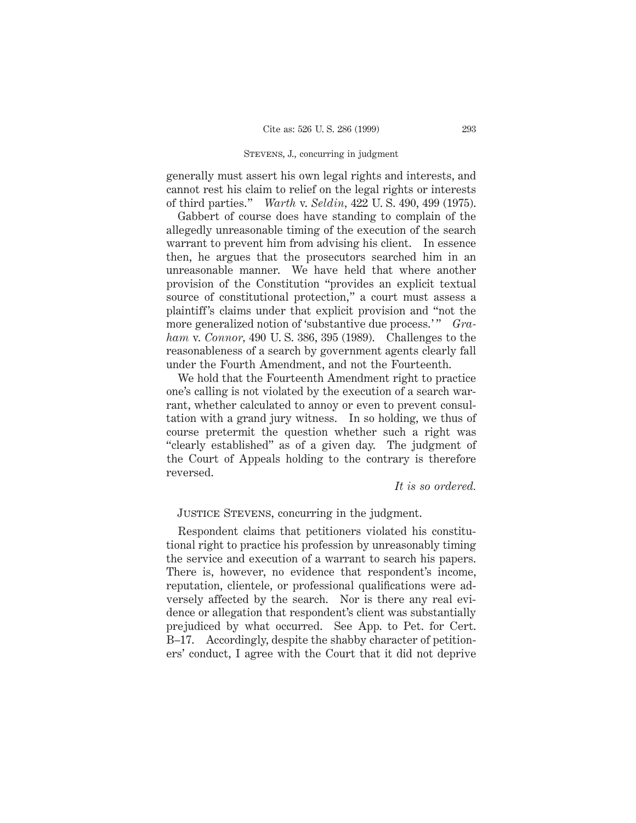# Stevens, J., concurring in judgment

generally must assert his own legal rights and interests, and cannot rest his claim to relief on the legal rights or interests of third parties." *Warth* v. *Seldin,* 422 U. S. 490, 499 (1975).

Gabbert of course does have standing to complain of the allegedly unreasonable timing of the execution of the search warrant to prevent him from advising his client. In essence then, he argues that the prosecutors searched him in an unreasonable manner. We have held that where another provision of the Constitution "provides an explicit textual source of constitutional protection," a court must assess a plaintiff's claims under that explicit provision and "not the more generalized notion of 'substantive due process.'" *Graham* v. *Connor,* 490 U. S. 386, 395 (1989). Challenges to the reasonableness of a search by government agents clearly fall under the Fourth Amendment, and not the Fourteenth.

We hold that the Fourteenth Amendment right to practice one's calling is not violated by the execution of a search warrant, whether calculated to annoy or even to prevent consultation with a grand jury witness. In so holding, we thus of course pretermit the question whether such a right was "clearly established" as of a given day. The judgment of the Court of Appeals holding to the contrary is therefore reversed.

*It is so ordered.*

# Justice Stevens, concurring in the judgment.

Respondent claims that petitioners violated his constitutional right to practice his profession by unreasonably timing the service and execution of a warrant to search his papers. There is, however, no evidence that respondent's income, reputation, clientele, or professional qualifications were adversely affected by the search. Nor is there any real evidence or allegation that respondent's client was substantially prejudiced by what occurred. See App. to Pet. for Cert. B–17. Accordingly, despite the shabby character of petitioners' conduct, I agree with the Court that it did not deprive